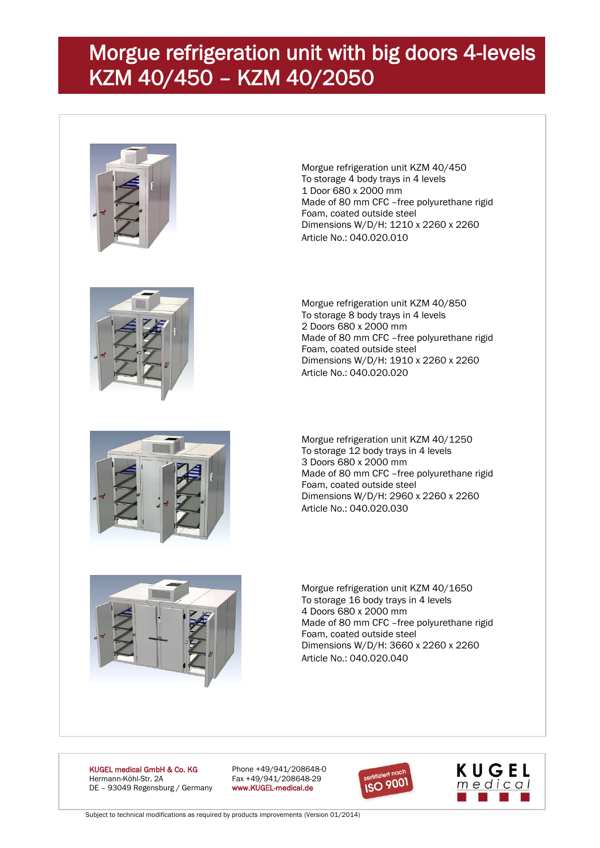## Morgue refrigeration unit with big doors 4-levels KZM 40/450 – KZM 40/2050





Morgue refrigeration unit KZM 40/450



Morgue refrigeration unit KZM 40/850 To storage 8 body trays in 4 levels 2 Doors 680 x 2000 mm Made of 80 mm CFC –free polyurethane rigid Foam, coated outside steel Dimensions W/D/H: 1910 x 2260 x 2260 Article No.: 040.020.020

Morgue refrigeration unit KZM 40/1250 To storage 12 body trays in 4 levels 3 Doors 680 x 2000 mm Made of 80 mm CFC –free polyurethane rigid Foam, coated outside steel Dimensions W/D/H: 2960 x 2260 x 2260 Article No.: 040.020.030



Morgue refrigeration unit KZM 40/1650 To storage 16 body trays in 4 levels 4 Doors 680 x 2000 mm Made of 80 mm CFC –free polyurethane rigid Foam, coated outside steel Dimensions W/D/H: 3660 x 2260 x 2260 Article No.: 040.020.040

KUGEL medical GmbH & Co. KG Phone +49/941/208648-0 Hermann-Köhl-Str. 2A Fax +49/941/208648-29<br>DE - 93049 Regensburg / Germany www.KUGEL-medical.de DE - 93049 Regensburg / Germany





Subject to technical modifications as required by products improvements (Version 01/2014)